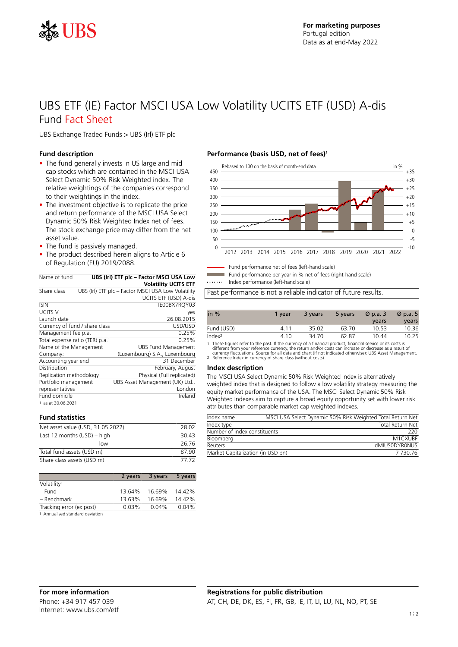

# UBS ETF (IE) Factor MSCI USA Low Volatility UCITS ETF (USD) A-dis Fund Fact Sheet

UBS Exchange Traded Funds > UBS (Irl) ETF plc

#### **Fund description**

- The fund generally invests in US large and mid cap stocks which are contained in the MSCI USA Select Dynamic 50% Risk Weighted index. The relative weightings of the companies correspond to their weightings in the index.
- The investment objective is to replicate the price and return performance of the MSCI USA Select Dynamic 50% Risk Weighted Index net of fees. The stock exchange price may differ from the net asset value.
- The fund is passively managed.
- The product described herein aligns to Article 6 of Regulation (EU) 2019/2088.

| Name of fund                    |  | UBS (Irl) ETF plc - Factor MSCI USA Low            |  |  |  |
|---------------------------------|--|----------------------------------------------------|--|--|--|
|                                 |  | <b>Volatility UCITS ETF</b>                        |  |  |  |
| Share class                     |  | UBS (Irl) ETF plc - Factor MSCI USA Low Volatility |  |  |  |
|                                 |  | UCITS ETF (USD) A-dis                              |  |  |  |
| <b>ISIN</b>                     |  | IE00BX7RQY03                                       |  |  |  |
| UCITS V                         |  | yes                                                |  |  |  |
| Launch date                     |  | 26.08.2015                                         |  |  |  |
| Currency of fund / share class  |  | USD/USD                                            |  |  |  |
| Management fee p.a.             |  | 0.25%                                              |  |  |  |
| Total expense ratio (TER) p.a.1 |  | 0.25%                                              |  |  |  |
| Name of the Management          |  | <b>UBS Fund Management</b>                         |  |  |  |
| Company:                        |  | (Luxembourg) S.A., Luxembourg                      |  |  |  |
| Accounting year end             |  | 31 December                                        |  |  |  |
| Distribution                    |  | February, August                                   |  |  |  |
| Replication methodology         |  | Physical (Full replicated)                         |  |  |  |
| Portfolio management            |  | UBS Asset Management (UK) Ltd.,                    |  |  |  |
| representatives                 |  | London                                             |  |  |  |
| Fund domicile                   |  | Ireland                                            |  |  |  |
| 1 as at 30.06.2021              |  |                                                    |  |  |  |

#### **Fund statistics**

| Net asset value (USD, 31.05.2022) | 28.02 |
|-----------------------------------|-------|
| Last 12 months $(USD)$ – high     | 30.43 |
| $-$ low                           | 26.76 |
| Total fund assets (USD m)         | 87 90 |
| Share class assets (USD m)        | 77 72 |

|                          | 2 years | 3 years | 5 years |
|--------------------------|---------|---------|---------|
| Volatility <sup>1</sup>  |         |         |         |
| – Fund                   | 13.64%  | 16.69%  | 14.42%  |
| - Benchmark              | 13.63%  | 16.69%  | 14.42%  |
| Tracking error (ex post) | 0.03%   | 0.04%   | 0.04%   |
| .                        |         |         |         |

1 Annualised standard deviation

#### **Performance (basis USD, net of fees)<sup>1</sup>**



Fund performance net of fees (left-hand scale)

Fund performance per year in % net of fees (right-hand scale)

Index performance (left-hand scale)

Past performance is not a reliable indicator of future results.

| in $%$             | 1 vear | 3 years | 5 years | $\varnothing$ p.a. 3 | $\varnothing$ p.a. 5 |
|--------------------|--------|---------|---------|----------------------|----------------------|
|                    |        |         |         | years                | years                |
| Fund (USD)         | 4 1 1  | 35.02   | 63.70   | 10.53                | 10.36                |
| Index <sup>2</sup> | 4.10   | 34.70   | 62.87   | 10.44                | 10.25                |

1 These figures refer to the past. If the currency of a financial product, financial service or its costs is<br>different from your reference currency, the return and/or costs can increase or decrease as a result of<br>currency

#### **Index description**

The MSCI USA Select Dynamic 50% Risk Weighted Index is alternatively weighted index that is designed to follow a low volatility strategy measuring the equity market performance of the USA. The MSCI Select Dynamic 50% Risk Weighted Indexes aim to capture a broad equity opportunity set with lower risk attributes than comparable market cap weighted indexes.

| Index name                        | MSCI USA Select Dynamic 50% Risk Weighted Total Return Net |
|-----------------------------------|------------------------------------------------------------|
| Index type                        | <b>Total Return Net</b>                                    |
| Number of index constituents      | 220.                                                       |
| Bloomberg                         | M1CXUBE                                                    |
| Reuters                           | .dMIUSODYRONUS                                             |
| Market Capitalization (in USD bn) | 7 730 76                                                   |